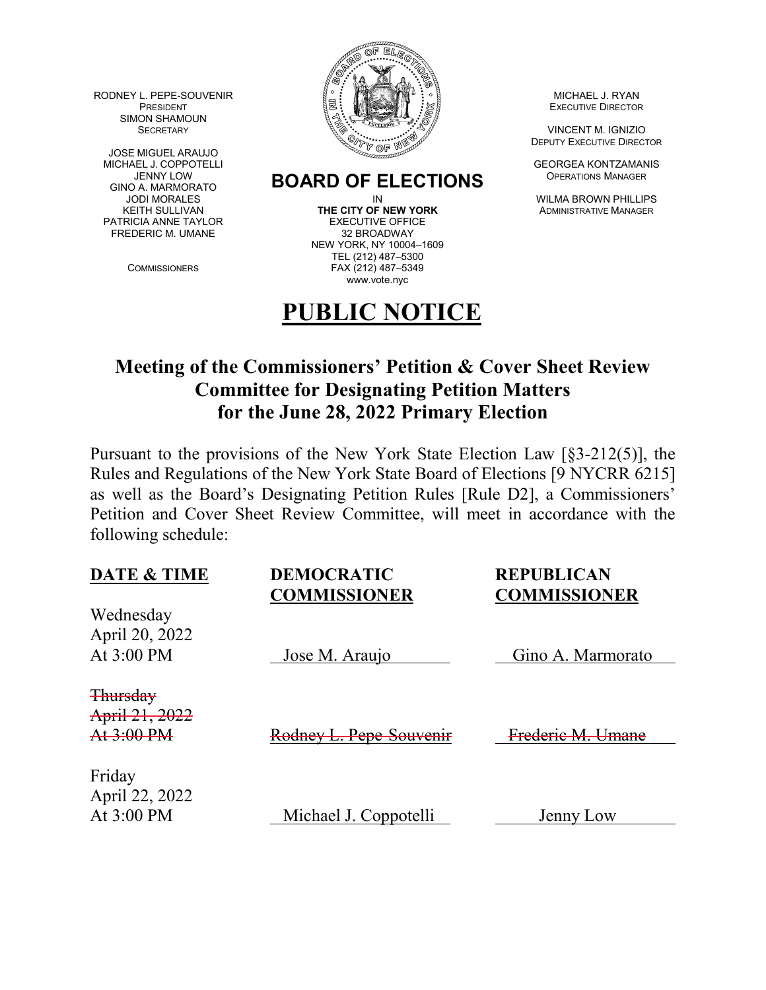RODNEY L. PEPE-SOUVENIR AND MICHAEL J. RYAN SIMON SHAMOUN

JOSE MIGUEL ARAUJO<br>MICHAEL J. COPPOTELLI GINO A. MARMORATO PATRICIA ANNE TAYLOR EXECUTIVE OFFICER EXECUTIVE OF THE REDERIC M. UMANE FREDERIC M. UMANE



## JENNY LOW **BOARD OF ELECTIONS** OPERATIONS MANAGER<br>JODI MORALES ON REALLY ON THELLIF

KEITH SULLIVAN **THE CITY OF NEW YORK** ADMINISTRATIVE MANAGER<br>TRICIA ANNE TAYLOR **EXECUTIVE OFFICE** NEW YORK, NY 10004–1609 TEL (212) 487–5300 COMMISSIONERS FAX (212) 487–5349 www.vote.nyc

## **PUBLIC NOTICE**

DEPUTY EXECUTIVE DIRECTOR

**GEORGEA KONTZAMANIS** 

IN WILMA BROWN PHILLIPS

## **Meeting of the Commissioners' Petition & Cover Sheet Review Committee for Designating Petition Matters for the June 28, 2022 Primary Election**

Pursuant to the provisions of the New York State Election Law [§3-212(5)], the Rules and Regulations of the New York State Board of Elections [9 NYCRR 6215] as well as the Board's Designating Petition Rules [Rule D2], a Commissioners' Petition and Cover Sheet Review Committee, will meet in accordance with the following schedule:

| <b>DATE &amp; TIME</b>      | <b>DEMOCRATIC</b><br><b>COMMISSIONER</b> | <b>REPUBLICAN</b><br><b>COMMISSIONER</b> |
|-----------------------------|------------------------------------------|------------------------------------------|
| Wednesday<br>April 20, 2022 |                                          |                                          |
| At 3:00 PM                  | Jose M. Araujo                           | Gino A. Marmorato                        |
| <b>Thursday</b>             |                                          |                                          |
| April 21, 2022              |                                          |                                          |
| At 3:00 PM                  | Rodney L. Pepe-Souvenir                  | Frederie M. Umane                        |
| Friday<br>April 22, 2022    |                                          |                                          |
| At 3:00 PM                  | Michael J. Coppotelli                    | Jenny Low                                |